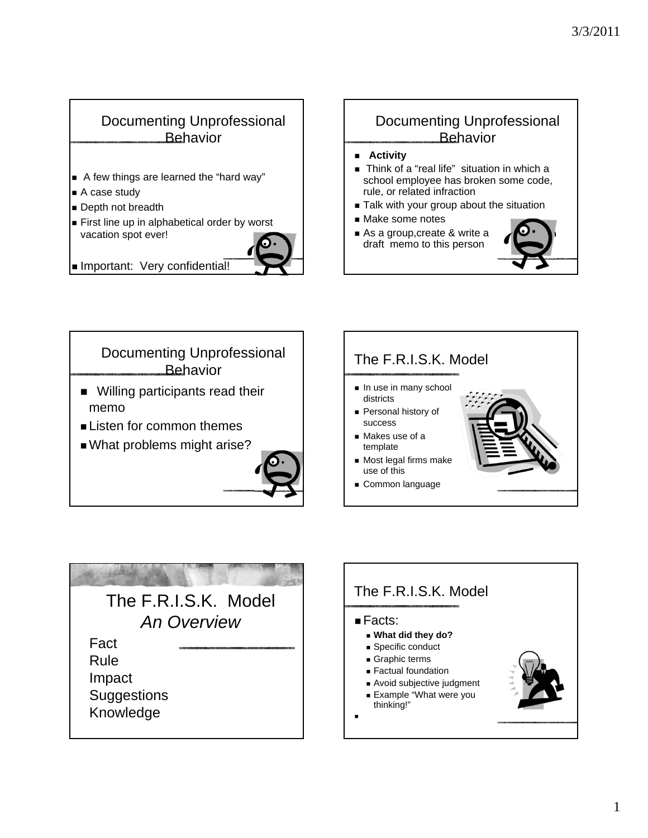## Documenting Unprofessional **Behavior**

- A few things are learned the "hard way"
- A case study
- Depth not breadth
- First line up in alphabetical order by worst vacation spot ever!



### Documenting Unprofessional **Behavior**

- **Activity**
- Think of a "real life" situation in which a school employee has broken some code, rule, or related infraction
- Talk with your group about the situation
- Make some notes
- As a group, create & write a draft memo to this person







# The F.R.I.S.K. Model *An Overview* Fact Rule Impact **Suggestions** Knowledge